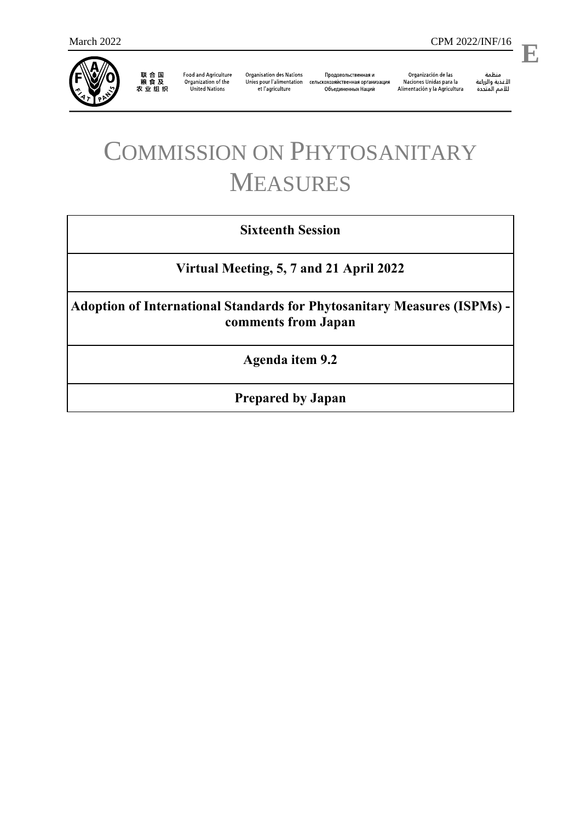

联 合 国<br>粮 食 及<br>农 业 组 织

**Food and Agriculture** Organization of the **United Nations** 

**Organisation des Nations** et l'agriculture

Продовольственная и Unies pour l'alimentation сельскохозяйственная организация Объединенных Наций

Organización de las Naciones Unidas para la Alimentación y la Agricultura

منظمة ستنسه<br>الأغذية والزراعة<br>للأمم المتددة

l,

# COMMISSION ON PHYTOSANITARY MEASURES

# **Sixteenth Session**

**Virtual Meeting, 5, 7 and 21 April 2022**

**Adoption of International Standards for Phytosanitary Measures (ISPMs) comments from Japan**

**Agenda item 9.2**

**Prepared by Japan**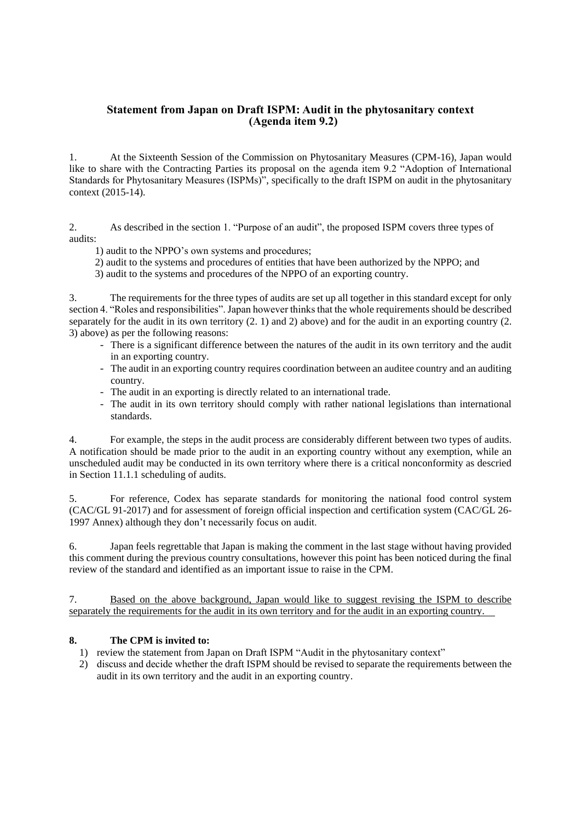# **Statement from Japan on Draft ISPM: Audit in the phytosanitary context (Agenda item 9.2)**

1. At the Sixteenth Session of the Commission on Phytosanitary Measures (CPM-16), Japan would like to share with the Contracting Parties its proposal on the agenda item 9.2 "Adoption of International Standards for Phytosanitary Measures (ISPMs)", specifically to the draft ISPM on audit in the phytosanitary context (2015-14).

2. As described in the section 1. "Purpose of an audit", the proposed ISPM covers three types of audits:

1) audit to the NPPO's own systems and procedures;

2) audit to the systems and procedures of entities that have been authorized by the NPPO; and

3) audit to the systems and procedures of the NPPO of an exporting country.

3. The requirements for the three types of audits are set up all together in this standard except for only section 4. "Roles and responsibilities". Japan however thinks that the whole requirements should be described separately for the audit in its own territory (2. 1) and 2) above) and for the audit in an exporting country (2. 3) above) as per the following reasons:

- There is a significant difference between the natures of the audit in its own territory and the audit in an exporting country.
- The audit in an exporting country requires coordination between an auditee country and an auditing country.
- The audit in an exporting is directly related to an international trade.
- The audit in its own territory should comply with rather national legislations than international standards.

4. For example, the steps in the audit process are considerably different between two types of audits. A notification should be made prior to the audit in an exporting country without any exemption, while an unscheduled audit may be conducted in its own territory where there is a critical nonconformity as descried in Section 11.1.1 scheduling of audits.

5. For reference, Codex has separate standards for monitoring the national food control system (CAC/GL 91-2017) and for assessment of foreign official inspection and certification system (CAC/GL 26- 1997 Annex) although they don't necessarily focus on audit.

6. Japan feels regrettable that Japan is making the comment in the last stage without having provided this comment during the previous country consultations, however this point has been noticed during the final review of the standard and identified as an important issue to raise in the CPM.

7. Based on the above background, Japan would like to suggest revising the ISPM to describe separately the requirements for the audit in its own territory and for the audit in an exporting country.

# **8. The CPM is invited to:**

- 1) review the statement from Japan on Draft ISPM "Audit in the phytosanitary context"
- 2) discuss and decide whether the draft ISPM should be revised to separate the requirements between the audit in its own territory and the audit in an exporting country.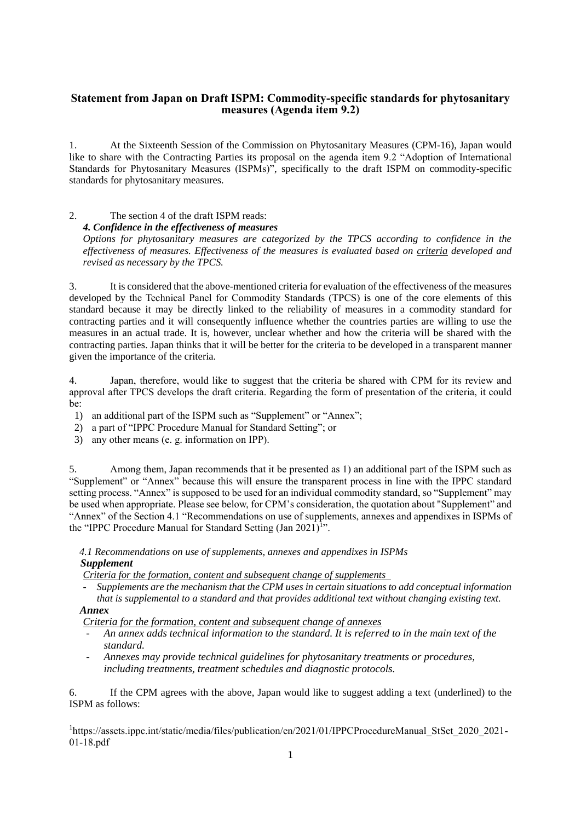# **Statement from Japan on Draft ISPM: Commodity-specific standards for phytosanitary measures (Agenda item 9.2)**

1. At the Sixteenth Session of the Commission on Phytosanitary Measures (CPM-16), Japan would like to share with the Contracting Parties its proposal on the agenda item 9.2 "Adoption of International Standards for Phytosanitary Measures (ISPMs)", specifically to the draft ISPM on commodity-specific standards for phytosanitary measures.

#### 2. The section 4 of the draft ISPM reads: *4. Confidence in the effectiveness of measures*

*Options for phytosanitary measures are categorized by the TPCS according to confidence in the effectiveness of measures. Effectiveness of the measures is evaluated based on criteria developed and revised as necessary by the TPCS.*

3. It is considered that the above-mentioned criteria for evaluation of the effectiveness of the measures developed by the Technical Panel for Commodity Standards (TPCS) is one of the core elements of this standard because it may be directly linked to the reliability of measures in a commodity standard for contracting parties and it will consequently influence whether the countries parties are willing to use the measures in an actual trade. It is, however, unclear whether and how the criteria will be shared with the contracting parties. Japan thinks that it will be better for the criteria to be developed in a transparent manner given the importance of the criteria.

4. Japan, therefore, would like to suggest that the criteria be shared with CPM for its review and approval after TPCS develops the draft criteria. Regarding the form of presentation of the criteria, it could be:

1) an additional part of the ISPM such as "Supplement" or "Annex";

- 2) a part of "IPPC Procedure Manual for Standard Setting"; or
- 3) any other means (e. g. information on IPP).

5. Among them, Japan recommends that it be presented as 1) an additional part of the ISPM such as "Supplement" or "Annex" because this will ensure the transparent process in line with the IPPC standard setting process. "Annex" is supposed to be used for an individual commodity standard, so "Supplement" may be used when appropriate. Please see below, for CPM's consideration, the quotation about "Supplement" and "Annex" of the Section 4.1 "Recommendations on use of supplements, annexes and appendixes in ISPMs of the "IPPC Procedure Manual for Standard Setting  $(Jan 2021)^{1}$ ".

*4.1 Recommendations on use of supplements, annexes and appendixes in ISPMs Supplement*

*Criteria for the formation, content and subsequent change of supplements* 

*- Supplements are the mechanism that the CPM uses in certain situations to add conceptual information that is supplemental to a standard and that provides additional text without changing existing text.* 

### *Annex*

*Criteria for the formation, content and subsequent change of annexes*

- *An annex adds technical information to the standard. It is referred to in the main text of the standard.*
- *Annexes may provide technical guidelines for phytosanitary treatments or procedures, including treatments, treatment schedules and diagnostic protocols.*

6. If the CPM agrees with the above, Japan would like to suggest adding a text (underlined) to the ISPM as follows:

<sup>1</sup>https://assets.ippc.int/static/media/files/publication/en/2021/01/IPPCProcedureManual StSet 2020 2021-01-18.pdf